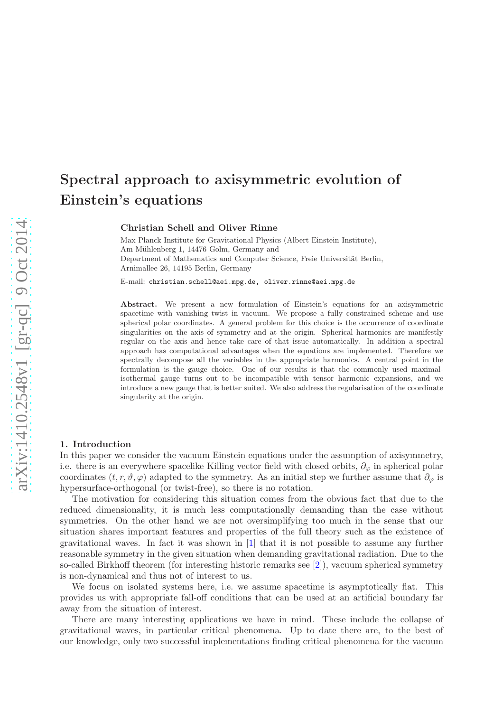# Spectral approach to axisymmetric evolution of Einstein's equations

Christian Schell and Oliver Rinne

Max Planck Institute for Gravitational Physics (Albert Einstein Institute), Am Mühlenberg 1, 14476 Golm, Germany and Department of Mathematics and Computer Science, Freie Universität Berlin, Arnimallee 26, 14195 Berlin, Germany

E-mail: christian.schell@aei.mpg.de, oliver.rinne@aei.mpg.de

Abstract. We present a new formulation of Einstein's equations for an axisymmetric spacetime with vanishing twist in vacuum. We propose a fully constrained scheme and use spherical polar coordinates. A general problem for this choice is the occurrence of coordinate singularities on the axis of symmetry and at the origin. Spherical harmonics are manifestly regular on the axis and hence take care of that issue automatically. In addition a spectral approach has computational advantages when the equations are implemented. Therefore we spectrally decompose all the variables in the appropriate harmonics. A central point in the formulation is the gauge choice. One of our results is that the commonly used maximalisothermal gauge turns out to be incompatible with tensor harmonic expansions, and we introduce a new gauge that is better suited. We also address the regularisation of the coordinate singularity at the origin.

### <span id="page-0-0"></span>1. Introduction

In this paper we consider the vacuum Einstein equations under the assumption of axisymmetry, i.e. there is an everywhere spacelike Killing vector field with closed orbits,  $\partial_{\varphi}$  in spherical polar coordinates  $(t, r, \vartheta, \varphi)$  adapted to the symmetry. As an initial step we further assume that  $\partial_{\varphi}$  is hypersurface-orthogonal (or twist-free), so there is no rotation.

The motivation for considering this situation comes from the obvious fact that due to the reduced dimensionality, it is much less computationally demanding than the case without symmetries. On the other hand we are not oversimplifying too much in the sense that our situation shares important features and properties of the full theory such as the existence of gravitational waves. In fact it was shown in [\[1\]](#page-5-0) that it is not possible to assume any further reasonable symmetry in the given situation when demanding gravitational radiation. Due to the so-called Birkhoff theorem (for interesting historic remarks see [\[2\]](#page-5-1)), vacuum spherical symmetry is non-dynamical and thus not of interest to us.

We focus on isolated systems here, i.e. we assume spacetime is asymptotically flat. This provides us with appropriate fall-off conditions that can be used at an artificial boundary far away from the situation of interest.

There are many interesting applications we have in mind. These include the collapse of gravitational waves, in particular critical phenomena. Up to date there are, to the best of our knowledge, only two successful implementations finding critical phenomena for the vacuum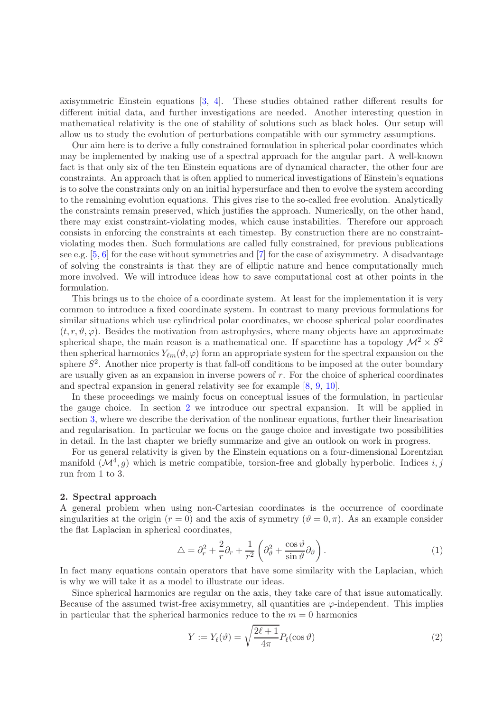axisymmetric Einstein equations [\[3,](#page-5-2) [4\]](#page-5-3). These studies obtained rather different results for different initial data, and further investigations are needed. Another interesting question in mathematical relativity is the one of stability of solutions such as black holes. Our setup will allow us to study the evolution of perturbations compatible with our symmetry assumptions.

Our aim here is to derive a fully constrained formulation in spherical polar coordinates which may be implemented by making use of a spectral approach for the angular part. A well-known fact is that only six of the ten Einstein equations are of dynamical character, the other four are constraints. An approach that is often applied to numerical investigations of Einstein's equations is to solve the constraints only on an initial hypersurface and then to evolve the system according to the remaining evolution equations. This gives rise to the so-called free evolution. Analytically the constraints remain preserved, which justifies the approach. Numerically, on the other hand, there may exist constraint-violating modes, which cause instabilities. Therefore our approach consists in enforcing the constraints at each timestep. By construction there are no constraintviolating modes then. Such formulations are called fully constrained, for previous publications see e.g.  $[5, 6]$  $[5, 6]$  for the case without symmetries and  $[7]$  for the case of axisymmetry. A disadvantage of solving the constraints is that they are of elliptic nature and hence computationally much more involved. We will introduce ideas how to save computational cost at other points in the formulation.

This brings us to the choice of a coordinate system. At least for the implementation it is very common to introduce a fixed coordinate system. In contrast to many previous formulations for similar situations which use cylindrical polar coordinates, we choose spherical polar coordinates  $(t, r, \vartheta, \varphi)$ . Besides the motivation from astrophysics, where many objects have an approximate spherical shape, the main reason is a mathematical one. If spacetime has a topology  $\mathcal{M}^2 \times S^2$ then spherical harmonics  $Y_{\ell m}(\vartheta, \varphi)$  form an appropriate system for the spectral expansion on the sphere  $S^2$ . Another nice property is that fall-off conditions to be imposed at the outer boundary are usually given as an expansion in inverse powers of r. For the choice of spherical coordinates and spectral expansion in general relativity see for example [\[8,](#page-5-7) [9,](#page-5-8) [10\]](#page-5-9).

In these proceedings we mainly focus on conceptual issues of the formulation, in particular the gauge choice. In section [2](#page-1-0) we introduce our spectral expansion. It will be applied in section [3,](#page-2-0) where we describe the derivation of the nonlinear equations, further their linearisation and regularisation. In particular we focus on the gauge choice and investigate two possibilities in detail. In the last chapter we briefly summarize and give an outlook on work in progress.

For us general relativity is given by the Einstein equations on a four-dimensional Lorentzian manifold  $(M^4, g)$  which is metric compatible, torsion-free and globally hyperbolic. Indices i, j run from 1 to 3.

#### <span id="page-1-0"></span>2. Spectral approach

A general problem when using non-Cartesian coordinates is the occurrence of coordinate singularities at the origin  $(r = 0)$  and the axis of symmetry  $(\vartheta = 0, \pi)$ . As an example consider the flat Laplacian in spherical coordinates,

<span id="page-1-1"></span>
$$
\triangle = \partial_r^2 + \frac{2}{r}\partial_r + \frac{1}{r^2} \left(\partial_\vartheta^2 + \frac{\cos\vartheta}{\sin\vartheta}\partial_\vartheta\right). \tag{1}
$$

In fact many equations contain operators that have some similarity with the Laplacian, which is why we will take it as a model to illustrate our ideas.

Since spherical harmonics are regular on the axis, they take care of that issue automatically. Because of the assumed twist-free axisymmetry, all quantities are  $\varphi$ -independent. This implies in particular that the spherical harmonics reduce to the  $m = 0$  harmonics

$$
Y := Y_{\ell}(\vartheta) = \sqrt{\frac{2\ell+1}{4\pi}} P_{\ell}(\cos \vartheta)
$$
\n(2)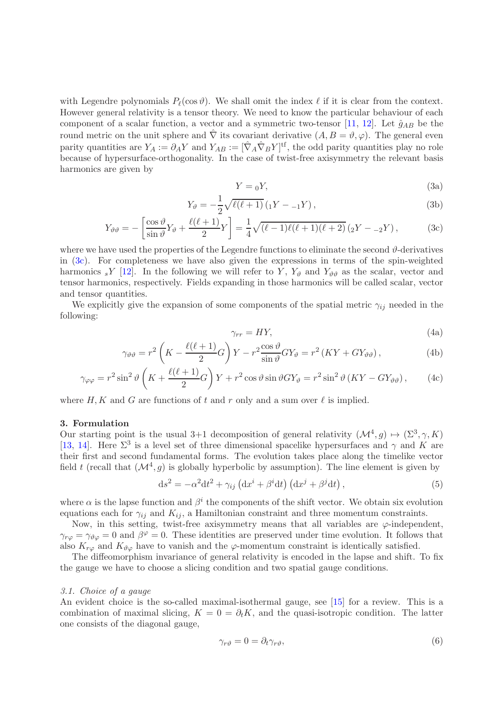with Legendre polynomials  $P_{\ell}(\cos \theta)$ . We shall omit the index  $\ell$  if it is clear from the context. However general relativity is a tensor theory. We need to know the particular behaviour of each component of a scalar function, a vector and a symmetric two-tensor [\[11,](#page-5-10) [12\]](#page-5-11). Let  $\hat{g}_{AB}$  be the round metric on the unit sphere and  $\hat{\nabla}$  its covariant derivative  $(A, B = \vartheta, \varphi)$ . The general even parity quantities are  $Y_A := \partial_A Y$  and  $Y_{AB} := [\hat{\nabla}_A \hat{\nabla}_B Y]^{\text{tf}}$ , the odd parity quantities play no role because of hypersurface-orthogonality. In the case of twist-free axisymmetry the relevant basis harmonics are given by

<span id="page-2-1"></span>
$$
Y = {}_0Y,
$$
\n<sup>(3a)</sup>

$$
Y_{\vartheta} = -\frac{1}{2} \sqrt{\ell(\ell+1)} \left( {}_{1}Y - {}_{-1}Y \right), \tag{3b}
$$

$$
Y_{\vartheta\vartheta} = -\left[\frac{\cos\vartheta}{\sin\vartheta}Y_{\vartheta} + \frac{\ell(\ell+1)}{2}Y\right] = \frac{1}{4}\sqrt{(\ell-1)\ell(\ell+1)(\ell+2)}\left(2Y - 2Y\right),\tag{3c}
$$

where we have used the properties of the Legendre functions to eliminate the second  $\vartheta$ -derivatives in [\(3c\)](#page-2-1). For completeness we have also given the expressions in terms of the spin-weighted harmonics <sub>s</sub>Y [\[12\]](#page-5-11). In the following we will refer to Y,  $Y_{\vartheta}$  and  $Y_{\vartheta\vartheta}$  as the scalar, vector and tensor harmonics, respectively. Fields expanding in those harmonics will be called scalar, vector and tensor quantities.

We explicitly give the expansion of some components of the spatial metric  $\gamma_{ij}$  needed in the following:

$$
\gamma_{rr} = HY,\tag{4a}
$$

<span id="page-2-3"></span>
$$
\gamma_{\vartheta\vartheta} = r^2 \left( K - \frac{\ell(\ell+1)}{2} G \right) Y - r^2 \frac{\cos \vartheta}{\sin \vartheta} G Y_{\vartheta} = r^2 \left( K Y + G Y_{\vartheta\vartheta} \right),\tag{4b}
$$

$$
\gamma_{\varphi\varphi} = r^2 \sin^2 \vartheta \left( K + \frac{\ell(\ell+1)}{2} G \right) Y + r^2 \cos \vartheta \sin \vartheta G Y_{\vartheta} = r^2 \sin^2 \vartheta \left( KY - G Y_{\vartheta\vartheta} \right), \tag{4c}
$$

where H, K and G are functions of t and r only and a sum over  $\ell$  is implied.

### <span id="page-2-0"></span>3. Formulation

Our starting point is the usual 3+1 decomposition of general relativity  $(\mathcal{M}^4, g) \mapsto (\Sigma^3, \gamma, K)$ [\[13,](#page-5-12) [14\]](#page-5-13). Here  $\Sigma^3$  is a level set of three dimensional spacelike hypersurfaces and  $\gamma$  and K are their first and second fundamental forms. The evolution takes place along the timelike vector field t (recall that  $(M^4, g)$  is globally hyperbolic by assumption). The line element is given by

$$
ds^{2} = -\alpha^{2}dt^{2} + \gamma_{ij} \left( dx^{i} + \beta^{i}dt \right) \left( dx^{j} + \beta^{j}dt \right), \qquad (5)
$$

where  $\alpha$  is the lapse function and  $\beta^i$  the components of the shift vector. We obtain six evolution equations each for  $\gamma_{ij}$  and  $K_{ij}$ , a Hamiltonian constraint and three momentum constraints.

Now, in this setting, twist-free axisymmetry means that all variables are  $\varphi$ -independent,  $\gamma_{r\varphi} = \gamma_{\vartheta\varphi} = 0$  and  $\beta^{\varphi} = 0$ . These identities are preserved under time evolution. It follows that also  $K_{r\varphi}$  and  $K_{\vartheta\varphi}$  have to vanish and the  $\varphi$ -momentum constraint is identically satisfied.

The diffeomorphism invariance of general relativity is encoded in the lapse and shift. To fix the gauge we have to choose a slicing condition and two spatial gauge conditions.

#### <span id="page-2-4"></span>3.1. Choice of a gauge

An evident choice is the so-called maximal-isothermal gauge, see [\[15\]](#page-5-14) for a review. This is a combination of maximal slicing,  $K = 0 = \partial_t K$ , and the quasi-isotropic condition. The latter one consists of the diagonal gauge,

<span id="page-2-2"></span>
$$
\gamma_{r\vartheta} = 0 = \partial_t \gamma_{r\vartheta},\tag{6}
$$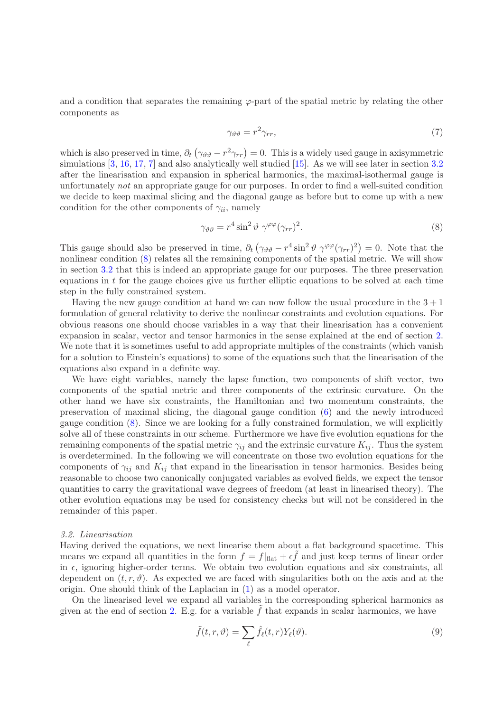and a condition that separates the remaining  $\varphi$ -part of the spatial metric by relating the other components as

<span id="page-3-2"></span><span id="page-3-1"></span>
$$
\gamma_{\vartheta\vartheta} = r^2 \gamma_{rr},\tag{7}
$$

which is also preserved in time,  $\partial_t (\gamma_{\vartheta\vartheta} - r^2 \gamma_{rr}) = 0$ . This is a widely used gauge in axisymmetric simulations [\[3,](#page-5-2) [16,](#page-5-15) [17,](#page-5-16) [7\]](#page-5-6) and also analytically well studied [\[15\]](#page-5-14). As we will see later in section [3.2](#page-3-0) after the linearisation and expansion in spherical harmonics, the maximal-isothermal gauge is unfortunately not an appropriate gauge for our purposes. In order to find a well-suited condition we decide to keep maximal slicing and the diagonal gauge as before but to come up with a new condition for the other components of  $\gamma_{ii}$ , namely

$$
\gamma_{\vartheta\vartheta} = r^4 \sin^2 \vartheta \, \gamma^{\varphi\varphi} (\gamma_{rr})^2. \tag{8}
$$

This gauge should also be preserved in time,  $\partial_t (\gamma_{\vartheta\vartheta} - r^4 \sin^2 \vartheta \gamma^{\varphi\varphi} (\gamma_{rr})^2) = 0$ . Note that the nonlinear condition [\(8\)](#page-3-1) relates all the remaining components of the spatial metric. We will show in section [3.2](#page-3-0) that this is indeed an appropriate gauge for our purposes. The three preservation equations in  $t$  for the gauge choices give us further elliptic equations to be solved at each time step in the fully constrained system.

Having the new gauge condition at hand we can now follow the usual procedure in the  $3 + 1$ formulation of general relativity to derive the nonlinear constraints and evolution equations. For obvious reasons one should choose variables in a way that their linearisation has a convenient expansion in scalar, vector and tensor harmonics in the sense explained at the end of section [2.](#page-1-0) We note that it is sometimes useful to add appropriate multiples of the constraints (which vanish for a solution to Einstein's equations) to some of the equations such that the linearisation of the equations also expand in a definite way.

We have eight variables, namely the lapse function, two components of shift vector, two components of the spatial metric and three components of the extrinsic curvature. On the other hand we have six constraints, the Hamiltonian and two momentum constraints, the preservation of maximal slicing, the diagonal gauge condition [\(6\)](#page-2-2) and the newly introduced gauge condition [\(8\)](#page-3-1). Since we are looking for a fully constrained formulation, we will explicitly solve all of these constraints in our scheme. Furthermore we have five evolution equations for the remaining components of the spatial metric  $\gamma_{ij}$  and the extrinsic curvature  $K_{ij}$ . Thus the system is overdetermined. In the following we will concentrate on those two evolution equations for the components of  $\gamma_{ii}$  and  $K_{ii}$  that expand in the linearisation in tensor harmonics. Besides being reasonable to choose two canonically conjugated variables as evolved fields, we expect the tensor quantities to carry the gravitational wave degrees of freedom (at least in linearised theory). The other evolution equations may be used for consistency checks but will not be considered in the remainder of this paper.

#### <span id="page-3-0"></span>3.2. Linearisation

Having derived the equations, we next linearise them about a flat background spacetime. This means we expand all quantities in the form  $f = f|_{\text{flat}} + \epsilon \tilde{f}$  and just keep terms of linear order in  $\epsilon$ , ignoring higher-order terms. We obtain two evolution equations and six constraints, all dependent on  $(t, r, \vartheta)$ . As expected we are faced with singularities both on the axis and at the origin. One should think of the Laplacian in [\(1\)](#page-1-1) as a model operator.

On the linearised level we expand all variables in the corresponding spherical harmonics as given at the end of section [2.](#page-1-0) E.g. for a variable  $\hat{f}$  that expands in scalar harmonics, we have

<span id="page-3-3"></span>
$$
\tilde{f}(t,r,\vartheta) = \sum_{\ell} \hat{f}_{\ell}(t,r) Y_{\ell}(\vartheta).
$$
\n(9)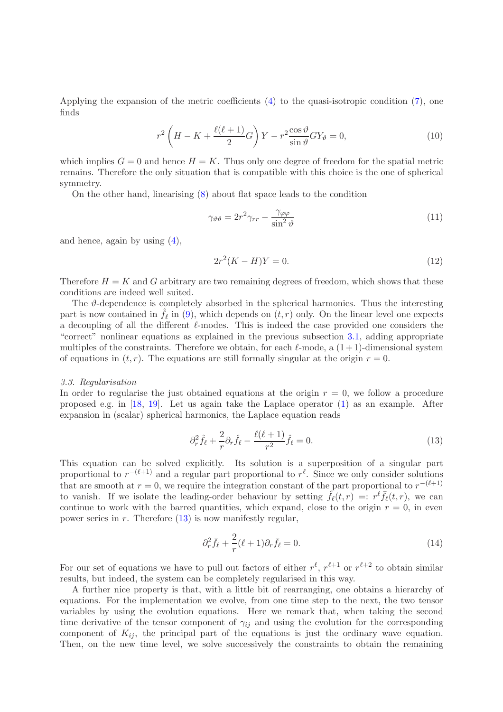Applying the expansion of the metric coefficients  $(4)$  to the quasi-isotropic condition  $(7)$ , one finds

$$
r^{2}\left(H-K+\frac{\ell(\ell+1)}{2}G\right)Y-r^{2}\frac{\cos\vartheta}{\sin\vartheta}GY_{\vartheta}=0,
$$
\n(10)

which implies  $G = 0$  and hence  $H = K$ . Thus only one degree of freedom for the spatial metric remains. Therefore the only situation that is compatible with this choice is the one of spherical symmetry.

On the other hand, linearising [\(8\)](#page-3-1) about flat space leads to the condition

$$
\gamma_{\vartheta\vartheta} = 2r^2 \gamma_{rr} - \frac{\gamma_{\varphi\varphi}}{\sin^2 \vartheta} \tag{11}
$$

and hence, again by using [\(4\)](#page-2-3),

$$
2r^2(K - H)Y = 0.\t(12)
$$

Therefore  $H = K$  and G arbitrary are two remaining degrees of freedom, which shows that these conditions are indeed well suited.

The  $\vartheta$ -dependence is completely absorbed in the spherical harmonics. Thus the interesting part is now contained in  $\hat{f}_\ell$  in [\(9\)](#page-3-3), which depends on  $(t, r)$  only. On the linear level one expects a decoupling of all the different ℓ-modes. This is indeed the case provided one considers the "correct" nonlinear equations as explained in the previous subsection [3.1,](#page-2-4) adding appropriate multiples of the constraints. Therefore we obtain, for each  $\ell$ -mode, a  $(1+1)$ -dimensional system of equations in  $(t, r)$ . The equations are still formally singular at the origin  $r = 0$ .

#### 3.3. Regularisation

In order to regularise the just obtained equations at the origin  $r = 0$ , we follow a procedure proposed e.g. in [\[18,](#page-5-17) [19\]](#page-5-18). Let us again take the Laplace operator [\(1\)](#page-1-1) as an example. After expansion in (scalar) spherical harmonics, the Laplace equation reads

<span id="page-4-0"></span>
$$
\partial_r^2 \hat{f}_\ell + \frac{2}{r} \partial_r \hat{f}_\ell - \frac{\ell(\ell+1)}{r^2} \hat{f}_\ell = 0.
$$
\n(13)

This equation can be solved explicitly. Its solution is a superposition of a singular part proportional to  $r^{-(\ell+1)}$  and a regular part proportional to  $r^{\ell}$ . Since we only consider solutions that are smooth at  $r = 0$ , we require the integration constant of the part proportional to  $r^{-(\ell+1)}$ to vanish. If we isolate the leading-order behaviour by setting  $\hat{f}_{\ell}(t,r) =: r^{\ell} \bar{f}_{\ell}(t,r)$ , we can continue to work with the barred quantities, which expand, close to the origin  $r = 0$ , in even power series in  $r$ . Therefore  $(13)$  is now manifestly regular,

$$
\partial_r^2 \bar{f}_{\ell} + \frac{2}{r} (\ell + 1) \partial_r \bar{f}_{\ell} = 0. \tag{14}
$$

For our set of equations we have to pull out factors of either  $r^{\ell}, r^{\ell+1}$  or  $r^{\ell+2}$  to obtain similar results, but indeed, the system can be completely regularised in this way.

A further nice property is that, with a little bit of rearranging, one obtains a hierarchy of equations. For the implementation we evolve, from one time step to the next, the two tensor variables by using the evolution equations. Here we remark that, when taking the second time derivative of the tensor component of  $\gamma_{ij}$  and using the evolution for the corresponding component of  $K_{ij}$ , the principal part of the equations is just the ordinary wave equation. Then, on the new time level, we solve successively the constraints to obtain the remaining